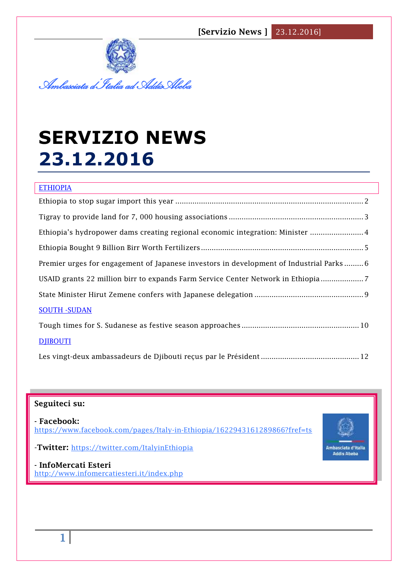

# **SERVIZIO NEWS 23.12.2016**

| <b>ETHIOPIA</b>                                                                        |
|----------------------------------------------------------------------------------------|
|                                                                                        |
|                                                                                        |
| Ethiopia's hydropower dams creating regional economic integration: Minister  4         |
|                                                                                        |
| Premier urges for engagement of Japanese investors in development of Industrial Parks6 |
| USAID grants 22 million birr to expands Farm Service Center Network in Ethiopia        |
|                                                                                        |
| <b>SOUTH - SUDAN</b>                                                                   |
|                                                                                        |
| <b>DJIBOUTI</b>                                                                        |
|                                                                                        |

# **Seguiteci su:**

**- Facebook:** <https://www.facebook.com/pages/Italy-in-Ethiopia/1622943161289866?fref=ts>



-**Twitter:** <https://twitter.com/ItalyinEthiopia>

**- InfoMercati Esteri**  <http://www.infomercatiesteri.it/index.php>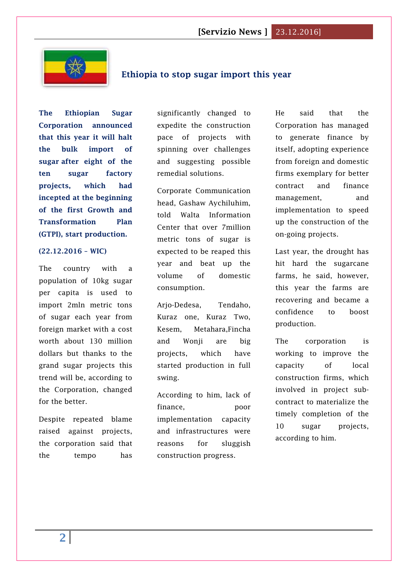

# <span id="page-1-0"></span>**Ethiopia to stop sugar import this year**

**The Ethiopian Sugar Corporation announced that this year it will halt the bulk import of sugar after eight of the ten sugar factory projects, which had incepted at the beginning of the first Growth and Transformation Plan (GTPI), start production.**

#### **(22.12.2016 – WIC)**

The country with a population of 10kg sugar per capita is used to import 2mln metric tons of sugar each year from foreign market with a cost worth about 130 million dollars but thanks to the grand sugar projects this trend will be, according to the Corporation, changed for the better.

Despite repeated blame raised against projects, the corporation said that the tempo has

significantly changed to expedite the construction pace of projects with spinning over challenges and suggesting possible remedial solutions.

Corporate Communication head, Gashaw Aychiluhim, told Walta Information Center that over 7million metric tons of sugar is expected to be reaped this year and beat up the volume of domestic consumption.

Arjo-Dedesa, Tendaho, Kuraz one, Kuraz Two, Kesem, Metahara,Fincha and Wonji are big projects, which have started production in full swing.

According to him, lack of finance, poor implementation capacity and infrastructures were reasons for sluggish construction progress.

He said that the Corporation has managed to generate finance by itself, adopting experience from foreign and domestic firms exemplary for better contract and finance management, and implementation to speed up the construction of the on-going projects.

Last year, the drought has hit hard the sugarcane farms, he said, however, this year the farms are recovering and became a confidence to boost production.

The corporation is working to improve the capacity of local construction firms, which involved in project subcontract to materialize the timely completion of the 10 sugar projects, according to him.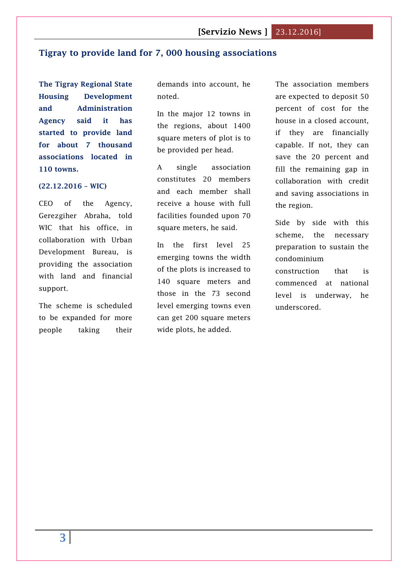#### <span id="page-2-0"></span>**Tigray to provide land for 7, 000 housing associations**

**The Tigray Regional State Housing Development and Administration Agency said it has started to provide land for about 7 thousand associations located in 110 towns.**

#### **(22.12.2016 – WIC)**

CEO of the Agency, Gerezgiher Abraha, told WIC that his office, in collaboration with Urban Development Bureau, is providing the association with land and financial support.

The scheme is scheduled to be expanded for more people taking their demands into account, he noted.

In the major 12 towns in the regions, about 1400 square meters of plot is to be provided per head.

A single association constitutes 20 members and each member shall receive a house with full facilities founded upon 70 square meters, he said.

In the first level 25 emerging towns the width of the plots is increased to 140 square meters and those in the 73 second level emerging towns even can get 200 square meters wide plots, he added.

The association members are expected to deposit 50 percent of cost for the house in a closed account, if they are financially capable. If not, they can save the 20 percent and fill the remaining gap in collaboration with credit and saving associations in the region.

Side by side with this scheme, the necessary preparation to sustain the condominium

construction that is commenced at national level is underway, he underscored.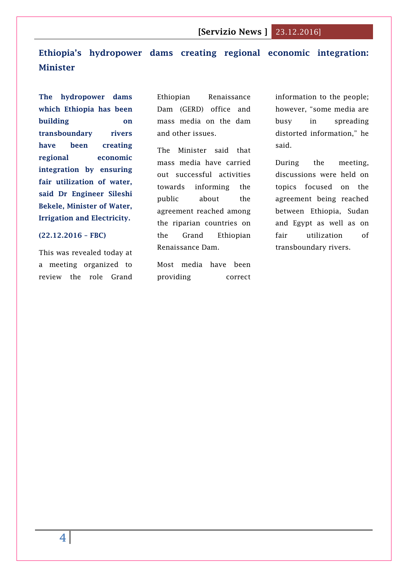# <span id="page-3-0"></span>**Ethiopia's hydropower dams creating regional economic integration: Minister**

**The hydropower dams which Ethiopia has been building on transboundary rivers have been creating regional economic integration by ensuring fair utilization of water, said Dr Engineer Sileshi Bekele, Minister of Water, Irrigation and Electricity.**

#### **(22.12.2016 – FBC)**

This was revealed today at a meeting organized to review the role Grand Ethiopian Renaissance Dam (GERD) office and mass media on the dam and other issues.

The Minister said that mass media have carried out successful activities towards informing the public about the agreement reached among the riparian countries on the Grand Ethiopian Renaissance Dam.

Most media have been providing correct

information to the people; however, "some media are busy in spreading distorted information," he said.

During the meeting, discussions were held on topics focused on the agreement being reached between Ethiopia, Sudan and Egypt as well as on fair utilization of transboundary rivers.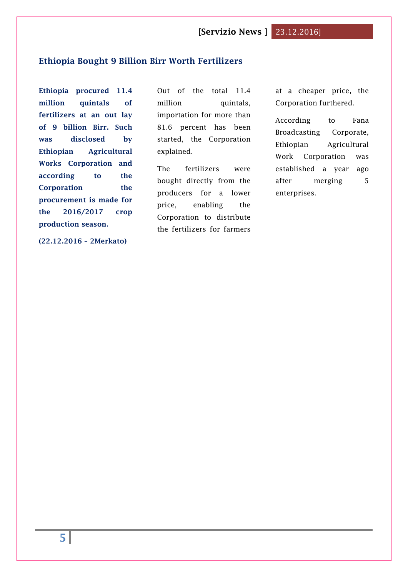### <span id="page-4-0"></span>**[Ethiopia Bought 9 Billion Birr Worth Fertilizers](http://www.2merkato.com/news/alerts/4879-ethiopia-bought-9-billion-birr-worth-fertilizers)**

**Ethiopia procured 11.4 million quintals of fertilizers at an out lay of 9 billion Birr. Such was disclosed by Ethiopian Agricultural Works Corporation and according to the Corporation the procurement is made for the 2016/2017 crop production season.**

**(22.12.2016 – 2Merkato)**

Out of the total 11.4 million quintals, importation for more than 81.6 percent has been started, the Corporation explained.

The fertilizers were bought directly from the producers for a lower price, enabling the Corporation to distribute the fertilizers for farmers

at a cheaper price, the Corporation furthered.

According to Fana Broadcasting Corporate, Ethiopian Agricultural Work Corporation was established a year ago after merging 5 enterprises.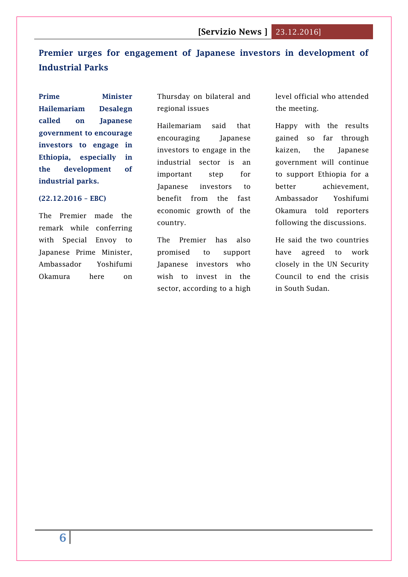# <span id="page-5-0"></span>**Premier urges for engagement of Japanese investors in development of Industrial Parks**

**Prime Minister Hailemariam Desalegn called on Japanese government to encourage investors to engage in Ethiopia, especially in the development of industrial parks.**

#### **(22.12.2016 – EBC)**

The Premier made the remark while conferring with Special Envoy to Japanese Prime Minister, Ambassador Yoshifumi Okamura here on

Thursday on bilateral and regional issues

Hailemariam said that encouraging Japanese investors to engage in the industrial sector is an important step for Japanese investors to benefit from the fast economic growth of the country.

The Premier has also promised to support Japanese investors who wish to invest in the sector, according to a high level official who attended the meeting.

Happy with the results gained so far through kaizen, the Japanese government will continue to support Ethiopia for a better achievement, Ambassador Yoshifumi Okamura told reporters following the discussions.

He said the two countries have agreed to work closely in the UN Security Council to end the crisis in South Sudan.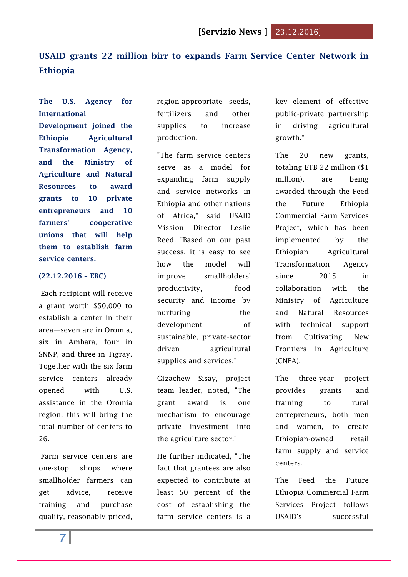# <span id="page-6-0"></span>**USAID grants 22 million birr to expands Farm Service Center Network in Ethiopia**

**The U.S. Agency for International** 

**Development joined the Ethiopia Agricultural Transformation Agency, and the Ministry of Agriculture and Natural Resources to award grants to 10 private entrepreneurs and 10 farmers' cooperative unions that will help them to establish farm service centers.**

#### **(22.12.2016 – EBC)**

Each recipient will receive a grant worth \$50,000 to establish a center in their area—seven are in Oromia, six in Amhara, four in SNNP, and three in Tigray. Together with the six farm service centers already opened with U.S. assistance in the Oromia region, this will bring the total number of centers to 26.

Farm service centers are one-stop shops where smallholder farmers can get advice, receive training and purchase quality, reasonably-priced,

region-appropriate seeds, fertilizers and other supplies to increase production.

"The farm service centers serve as a model for expanding farm supply and service networks in Ethiopia and other nations of Africa," said USAID Mission Director Leslie Reed. "Based on our past success, it is easy to see how the model will improve smallholders' productivity, food security and income by nurturing the development of sustainable, private-sector driven agricultural supplies and services."

Gizachew Sisay, project team leader, noted, "The grant award is one mechanism to encourage private investment into the agriculture sector."

He further indicated, "The fact that grantees are also expected to contribute at least 50 percent of the cost of establishing the farm service centers is a key element of effective public-private partnership in driving agricultural growth."

The 20 new grants, totaling ETB 22 million (\$1 million), are being awarded through the Feed the Future Ethiopia Commercial Farm Services Project, which has been implemented by the Ethiopian Agricultural Transformation Agency since 2015 in collaboration with the Ministry of Agriculture and Natural Resources with technical support from Cultivating New Frontiers in Agriculture (CNFA).

The three-year project provides grants and training to rural entrepreneurs, both men and women, to create Ethiopian-owned retail farm supply and service centers.

The Feed the Future Ethiopia Commercial Farm Services Project follows USAID's successful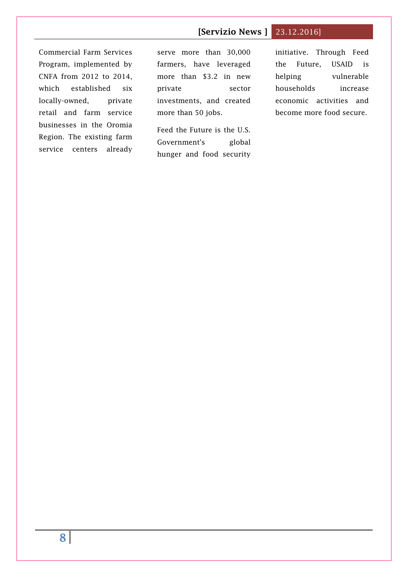Commercial Farm Services Program, implemented by CNFA from 2012 to 2014, which established six locally-owned, private retail and farm service businesses in the Oromia Region. The existing farm service centers already

serve more than 30,000 farmers, have leveraged more than \$3.2 in new private sector investments, and created more than 50 jobs.

Feed the Future is the U.S. Government's global hunger and food security initiative. Through Feed the Future, USAID is helping vulnerable households increase economic activities and become more food secure.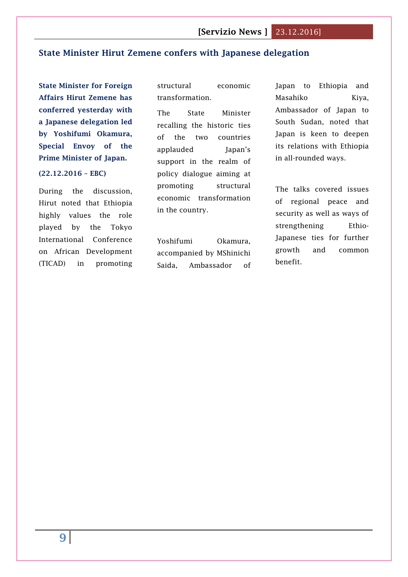# <span id="page-8-0"></span>**State Minister Hirut Zemene confers with Japanese delegation**

**State Minister for Foreign Affairs Hirut Zemene has conferred yesterday with a Japanese delegation led by Yoshifumi Okamura, Special Envoy of the Prime Minister of Japan.**

#### **(22.12.2016 – EBC)**

During the discussion, Hirut noted that Ethiopia highly values the role played by the Tokyo International Conference on African Development (TICAD) in promoting

structural economic transformation.

The State Minister recalling the historic ties of the two countries applauded Japan's support in the realm of policy dialogue aiming at promoting structural economic transformation in the country.

Yoshifumi Okamura, accompanied by MShinichi Saida, Ambassador of

Japan to Ethiopia and Masahiko Kiya, Ambassador of Japan to South Sudan, noted that Japan is keen to deepen its relations with Ethiopia in all-rounded ways.

The talks covered issues of regional peace and security as well as ways of strengthening Ethio-Japanese ties for further growth and common benefit.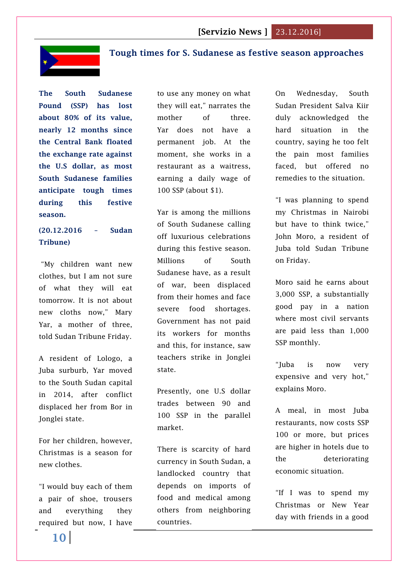

# <span id="page-9-0"></span>**Tough times for S. Sudanese as festive season approaches**

**The South Sudanese Pound (SSP) has lost about 80% of its value, nearly 12 months since the Central Bank floated the exchange rate against the U.S dollar, as most South Sudanese families anticipate tough times during this festive season.**

# **(20.12.2016 – Sudan Tribune)**

"My children want new clothes, but I am not sure of what they will eat tomorrow. It is not about new cloths now," Mary Yar, a mother of three, told Sudan Tribune Friday.

A resident of Lologo, a Juba surburb, Yar moved to the South Sudan capital in 2014, after conflict displaced her from Bor in Jonglei state.

For her children, however, Christmas is a season for new clothes.

"I would buy each of them a pair of shoe, trousers and everything they required but now, I have

to use any money on what they will eat," narrates the mother of three. Yar does not have a permanent job. At the moment, she works in a restaurant as a waitress, earning a daily wage of 100 SSP (about \$1).

Yar is among the millions of South Sudanese calling off luxurious celebrations during this festive season. Millions of South Sudanese have, as a result of war, been displaced from their homes and face severe food shortages. Government has not paid its workers for months and this, for instance, saw teachers strike in Jonglei state.

Presently, one U.S dollar trades between 90 and 100 SSP in the parallel market.

There is scarcity of hard currency in South Sudan, a landlocked country that depends on imports of food and medical among others from neighboring countries.

On Wednesday, South Sudan President Salva Kiir duly acknowledged the hard situation in the country, saying he too felt the pain most families faced, but offered no remedies to the situation.

"I was planning to spend my Christmas in Nairobi but have to think twice," John Moro, a resident of Juba told Sudan Tribune on Friday.

Moro said he earns about 3,000 SSP, a substantially good pay in a nation where most civil servants are paid less than 1,000 SSP monthly.

"Juba is now very expensive and very hot," explains Moro.

A meal, in most Juba restaurants, now costs SSP 100 or more, but prices are higher in hotels due to the deteriorating economic situation.

"If I was to spend my Christmas or New Year day with friends in a good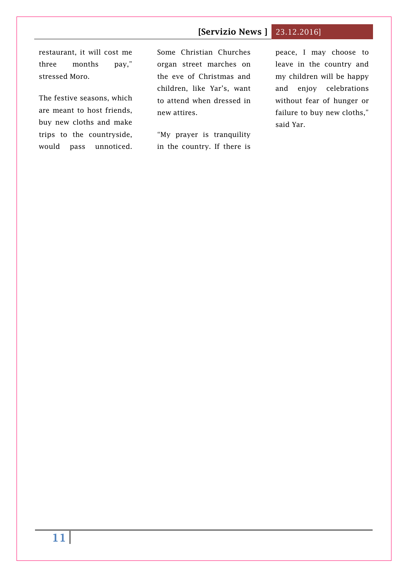# restaurant, it will cost me three months pay," stressed Moro.

The festive seasons, which are meant to host friends, buy new cloths and make trips to the countryside, would pass unnoticed. Some Christian Churches organ street marches on the eve of Christmas and children, like Yar's, want to attend when dressed in new attires.

"My prayer is tranquility in the country. If there is peace, I may choose to leave in the country and my children will be happy and enjoy celebrations without fear of hunger or failure to buy new cloths," said Yar.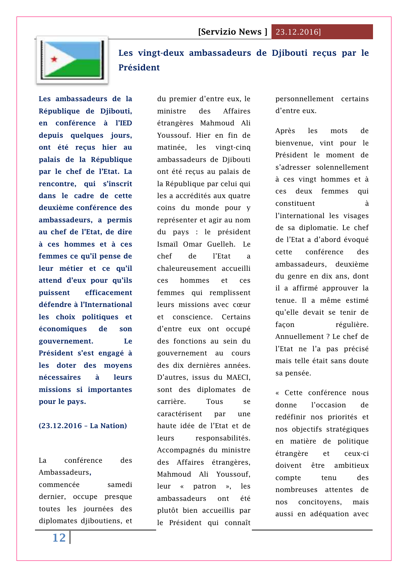

# <span id="page-11-0"></span>**[Les vingt-deux ambassadeurs de Djibouti reçus par le](http://www.lanationdj.com/vingt-deux-ambassadeurs-de-djibouti-recus-president/)  [Président](http://www.lanationdj.com/vingt-deux-ambassadeurs-de-djibouti-recus-president/)**

**Les ambassadeurs de la République de Djibouti, en conférence à l'IED depuis quelques jours, ont été reçus hier au palais de la République par le chef de l'Etat. La rencontre, qui s'inscrit dans le cadre de cette deuxième conférence des ambassadeurs, a permis au chef de l'Etat, de dire à ces hommes et à ces femmes ce qu'il pense de leur métier et ce qu'il attend d'eux pour qu'ils puissent efficacement défendre à l'International les choix politiques et économiques de son gouvernement. Le Président s'est engagé à les doter des moyens nécessaires à leurs missions si importantes pour le pays.**

#### **(23.12.2016 – La Nation)**

La conférence des Ambassadeurs**,**

commencée samedi dernier, occupe presque toutes les journées des diplomates djiboutiens, et

du premier d'entre eux, le ministre des Affaires étrangères Mahmoud Ali Youssouf. Hier en fin de matinée, les vingt-cinq ambassadeurs de Djibouti ont été reçus au palais de la République par celui qui les a accrédités aux quatre coins du monde pour y représenter et agir au nom du pays : le président Ismaïl Omar Guelleh. Le chef de l'Etat a chaleureusement accueilli ces hommes et ces femmes qui remplissent leurs missions avec cœur et conscience. Certains d'entre eux ont occupé des fonctions au sein du gouvernement au cours des dix dernières années. D'autres, issus du MAECI, sont des diplomates de carrière. Tous se caractérisent par une haute idée de l'Etat et de leurs responsabilités. Accompagnés du ministre des Affaires étrangères, Mahmoud Ali Youssouf, leur « patron », les ambassadeurs ont été plutôt bien accueillis par le Président qui connaît personnellement certains d'entre eux.

Après les mots de bienvenue, vint pour le Président le moment de s'adresser solennellement à ces vingt hommes et à ces deux femmes qui constituent à l'international les visages de sa diplomatie. Le chef de l'Etat a d'abord évoqué cette conférence des ambassadeurs, deuxième du genre en dix ans, dont il a affirmé approuver la tenue. Il a même estimé qu'elle devait se tenir de façon régulière. Annuellement ? Le chef de l'Etat ne l'a pas précisé mais telle était sans doute sa pensée.

« Cette conférence nous donne l'occasion de redéfinir nos priorités et nos objectifs stratégiques en matière de politique étrangère et ceux-ci doivent être ambitieux compte tenu des nombreuses attentes de nos concitoyens, mais aussi en adéquation avec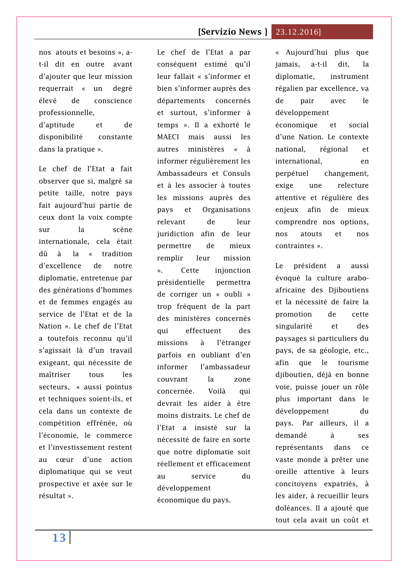# nos atouts et besoins », at-il dit en outre avant d'ajouter que leur mission requerrait « un degré élevé de conscience professionnelle,

d'aptitude et de disponibilité constante dans la pratique ».

Le chef de l'Etat a fait observer que si, malgré sa petite taille, notre pays fait aujourd'hui partie de ceux dont la voix compte sur la scène internationale, cela était dû à la « tradition d'excellence de notre diplomatie, entretenue par des générations d'hommes et de femmes engagés au service de l'Etat et de la Nation ». Le chef de l'Etat a toutefois reconnu qu'il s'agissait là d'un travail exigeant, qui nécessite de maîtriser tous les secteurs, « aussi pointus et techniques soient-ils, et cela dans un contexte de compétition effrénée, où l'économie, le commerce et l'investissement restent au cœur d'une action diplomatique qui se veut prospective et axée sur le résultat ».

Le chef de l'Etat a par conséquent estimé qu'il leur fallait « s'informer et bien s'informer auprès des départements concernés et surtout, s'informer à temps ». Il a exhorté le MAECI mais aussi les autres ministères « à informer régulièrement les Ambassadeurs et Consuls et à les associer à toutes les missions auprès des pays et Organisations relevant de leur juridiction afin de leur permettre de mieux remplir leur mission ». Cette injonction présidentielle permettra de corriger un « oubli » trop fréquent de la part des ministères concernés qui effectuent des missions à l'étranger parfois en oubliant d'en informer l'ambassadeur couvrant la zone concernée. Voilà qui devrait les aider à être moins distraits. Le chef de l'Etat a insisté sur la nécessité de faire en sorte que notre diplomatie soit réellement et efficacement au service du développement économique du pays.

« Aujourd'hui plus que jamais, a-t-il dit, la diplomatie, instrument régalien par excellence, va de pair avec le développement économique et social d'une Nation. Le contexte national, régional et international, en perpétuel changement, exige une relecture attentive et régulière des enjeux afin de mieux comprendre nos options, nos atouts et nos contraintes ».

Le président a aussi évoqué la culture araboafricaine des Djiboutiens et la nécessité de faire la promotion de cette singularité et des paysages si particuliers du pays, de sa géologie, etc., afin que le tourisme diiboutien, déjà en bonne voie, puisse jouer un rôle plus important dans le développement du pays. Par ailleurs, il a demandé à ses représentants dans ce vaste monde à prêter une oreille attentive à leurs concitoyens expatriés, à les aider, à recueillir leurs doléances. Il a ajouté que tout cela avait un coût et